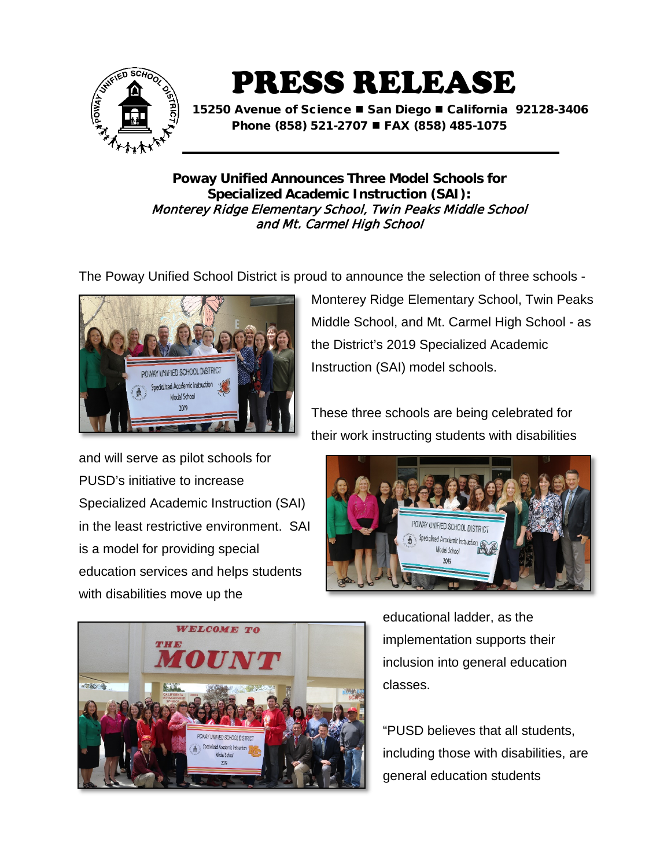

PRESS RELEASE

15250 Avenue of Science ■ San Diego ■ California 92128-3406 Phone (858) 521-2707 ■ FAX (858) 485-1075

**Poway Unified Announces Three Model Schools for Specialized Academic Instruction (SAI):** Monterey Ridge Elementary School, Twin Peaks Middle School and Mt. Carmel High School

The Poway Unified School District is proud to announce the selection of three schools -



and will serve as pilot schools for PUSD's initiative to increase Specialized Academic Instruction (SAI) in the least restrictive environment. SAI is a model for providing special education services and helps students with disabilities move up the

Monterey Ridge Elementary School, Twin Peaks Middle School, and Mt. Carmel High School - as the District's 2019 Specialized Academic Instruction (SAI) model schools.

These three schools are being celebrated for their work instructing students with disabilities





educational ladder, as the implementation supports their inclusion into general education classes.

"PUSD believes that all students, including those with disabilities, are general education students